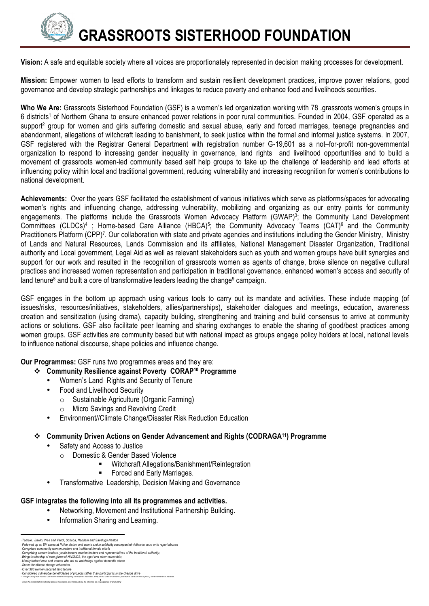

**Vision:** A safe and equitable society where all voices are proportionately represented in decision making processes for development.

**Mission:** Empower women to lead efforts to transform and sustain resilient development practices, improve power relations, good governance and develop strategic partnerships and linkages to reduce poverty and enhance food and livelihoods securities.

**Who We Are:** Grassroots Sisterhood Foundation (GSF) is a women's led organization working with 78 .grassroots women's groups in 6 districts1 of Northern Ghana to ensure enhanced power relations in poor rural communities. Founded in 2004, GSF operated as a support<sup>2</sup> group for women and girls suffering domestic and sexual abuse, early and forced marriages, teenage pregnancies and abandonment, allegations of witchcraft leading to banishment, to seek justice within the formal and informal justice systems. In 2007, GSF registered with the Registrar General Department with registration number G-19,601 as a not–for-profit non-governmental organization to respond to increasing gender inequality in governance, land rights and livelihood opportunities and to build a movement of grassroots women-led community based self help groups to take up the challenge of leadership and lead efforts at influencing policy within local and traditional government, reducing vulnerability and increasing recognition for women's contributions to national development.

**Achievements:** Over the years GSF facilitated the establishment of various initiatives which serve as platforms/spaces for advocating women's rights and influencing change, addressing vulnerability, mobilizing and organizing as our entry points for community engagements. The platforms include the Grassroots Women Advocacy Platform (GWAP)<sup>3</sup>; the Community Land Development Committees (CLDCs)<sup>4</sup>; Home-based Care Alliance (HBCA)<sup>5</sup>; the Community Advocacy Teams (CAT)<sup>6</sup> and the Community Practitioners Platform (CPP)<sup>7</sup>. Our collaboration with state and private agencies and institutions including the Gender Ministry, Ministry of Lands and Natural Resources, Lands Commission and its affiliates, National Management Disaster Organization, Traditional authority and Local government, Legal Aid as well as relevant stakeholders such as youth and women groups have built synergies and support for our work and resulted in the recognition of grassroots women as agents of change, broke silence on negative cultural practices and increased women representation and participation in traditional governance, enhanced women's access and security of land tenure<sup>8</sup> and built a core of transformative leaders leading the change<sup>9</sup> campaign.

GSF engages in the bottom up approach using various tools to carry out its mandate and activities. These include mapping (of issues/risks, resources/initiatives, stakeholders, allies/partnerships), stakeholder dialogues and meetings, education, awareness creation and sensitization (using drama), capacity building, strengthening and training and build consensus to arrive at community actions or solutions. GSF also facilitate peer learning and sharing exchanges to enable the sharing of good/best practices among women groups. GSF activities are community based but with national impact as groups engage policy holders at local, national levels to influence national discourse, shape policies and influence change.

**Our Programmes:** GSF runs two programmes areas and they are:

- v **Community Resilience against Poverty CORAP10 Programme**
	- Women's Land Rights and Security of Tenure
	- Food and Livelihood Security
		- o Sustainable Agriculture (Organic Farming)
		- o Micro Savings and Revolving Credit
	- Environment//Climate Change/Disaster Risk Reduction Education
- **Community Driven Actions on Gender Advancement and Rights (CODRAGA<sup>11</sup>) Programme** 
	- Safety and Access to Justice
		- o Domestic & Gender Based Violence
			- § Witchcraft Allegations/Banishment/Reintegration
			- Forced and Early Marriages.
	- Transformative Leadership, Decision Making and Governance

## **GSF integrates the following into all its programmes and activities.**

- Networking, Movement and Institutional Partnership Building.
- Information Sharing and Learning.

<sup>.&</sup>lt;br>Tamale... Bawku Wes and Yendi. Soboba. Nabdam and Savelugu Nanton

Transle., Bawku Wes and Yerali, Soboba, Nabdam and Savelugu Nandon Archives Comparison of victims to court or to report abuses<br>Followed up on DV cases at Police station and counts and in Suldanty accompanied victims to cou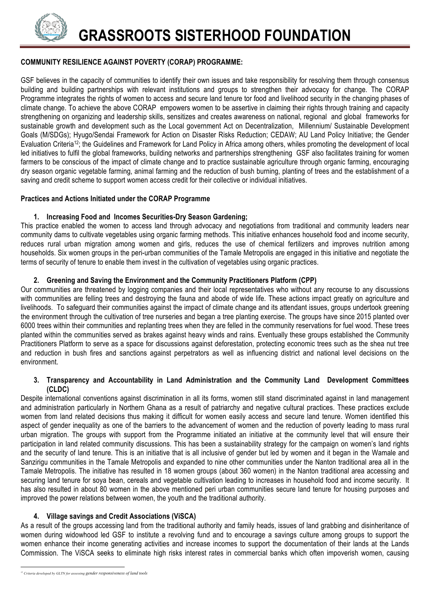

## **COMMUNITY RESILIENCE AGAINST POVERTY (CORAP) PROGRAMME:**

GSF believes in the capacity of communities to identify their own issues and take responsibility for resolving them through consensus building and building partnerships with relevant institutions and groups to strengthen their advocacy for change. The CORAP Programme integrates the rights of women to access and secure land tenure tor food and livelihood security in the changing phases of climate change. To achieve the above CORAP empowers women to be assertive in claiming their rights through training and capacity strengthening on organizing and leadership skills, sensitizes and creates awareness on national, regional and global frameworks for sustainable growth and development such as the Local government Act on Decentralization, Millennium/ Sustainable Development Goals (M/SDGs); Hyugo/Sendai Framework for Action on Disaster Risks Reduction; CEDAW; AU Land Policy Initiative; the Gender Evaluation Criteria12; the Guidelines and Framework for Land Policy in Africa among others, whiles promoting the development of local led initiatives to fulfil the global frameworks, building networks and partnerships strengthening GSF also facilitates training for women farmers to be conscious of the impact of climate change and to practice sustainable agriculture through organic farming, encouraging dry season organic vegetable farming, animal farming and the reduction of bush burning, planting of trees and the establishment of a saving and credit scheme to support women access credit for their collective or individual initiatives.

## **Practices and Actions Initiated under the CORAP Programme**

## **1. Increasing Food and Incomes Securities-Dry Season Gardening;**

This practice enabled the women to access land through advocacy and negotiations from traditional and community leaders near community dams to cultivate vegetables using organic farming methods. This initiative enhances household food and income security, reduces rural urban migration among women and girls, reduces the use of chemical fertilizers and improves nutrition among households. Six women groups in the peri-urban communities of the Tamale Metropolis are engaged in this initiative and negotiate the terms of security of tenure to enable them invest in the cultivation of vegetables using organic practices.

## **2. Greening and Saving the Environment and the Community Practitioners Platform (CPP)**

Our communities are threatened by logging companies and their local representatives who without any recourse to any discussions with communities are felling trees and destroying the fauna and abode of wide life. These actions impact greatly on agriculture and livelihoods. To safeguard their communities against the impact of climate change and its attendant issues, groups undertook greening the environment through the cultivation of tree nurseries and began a tree planting exercise. The groups have since 2015 planted over 6000 trees within their communities and replanting trees when they are felled in the community reservations for fuel wood. These trees planted within the communities served as brakes against heavy winds and rains. Eventually these groups established the Community Practitioners Platform to serve as a space for discussions against deforestation, protecting economic trees such as the shea nut tree and reduction in bush fires and sanctions against perpetrators as well as influencing district and national level decisions on the environment.

#### **3. Transparency and Accountability in Land Administration and the Community Land Development Committees (CLDC)**

Despite international conventions against discrimination in all its forms, women still stand discriminated against in land management and administration particularly in Northern Ghana as a result of patriarchy and negative cultural practices. These practices exclude women from land related decisions thus making it difficult for women easily access and secure land tenure. Women identified this aspect of gender inequality as one of the barriers to the advancement of women and the reduction of poverty leading to mass rural urban migration. The groups with support from the Programme initiated an initiative at the community level that will ensure their participation in land related community discussions. This has been a sustainability strategy for the campaign on women's land rights and the security of land tenure. This is an initiative that is all inclusive of gender but led by women and it began in the Wamale and Sanzirigu communities in the Tamale Metropolis and expanded to nine other communities under the Nanton traditional area all in the Tamale Metropolis. The initiative has resulted in 18 women groups (about 360 women) in the Nanton traditional area accessing and securing land tenure for soya bean, cereals and vegetable cultivation leading to increases in household food and income security. It has also resulted in about 80 women in the above mentioned peri urban communities secure land tenure for housing purposes and improved the power relations between women, the youth and the traditional authority.

## **4. Village savings and Credit Associations (ViSCA)**

As a result of the groups accessing land from the traditional authority and family heads, issues of land grabbing and disinheritance of women during widowhood led GSF to institute a revolving fund and to encourage a savings culture among groups to support the women enhance their income generating activities and increase incomes to support the documentation of their lands at the Lands Commission. The ViSCA seeks to eliminate high risks interest rates in commercial banks which often impoverish women, causing

 

*<sup>12</sup> Criteria developed by GLTN for assessing gender responsiveness of land tools*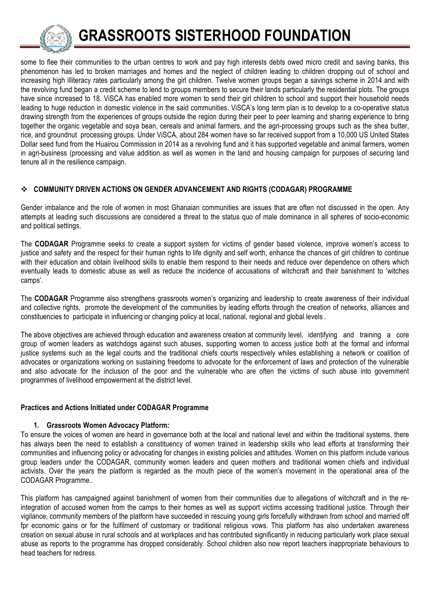

# **GRASSROOTS SISTERHOOD FOUNDATION**

some to flee their communities to the urban centres to work and pay high interests debts owed micro credit and saving banks, this phenomenon has led to broken marriages and homes and the neglect of children leading to children dropping out of school and increasing high illiteracy rates particularly among the girl children. Twelve women groups began a savings scheme in 2014 and with the revolving fund began a credit scheme to lend to groups members to secure their lands particularly the residential plots. The groups have since increased to 18. ViSCA has enabled more women to send their girl children to school and support their household needs leading to huge reduction in domestic violence in the said communities. ViSCA's long term plan is to develop to a co-operative status drawing strength from the experiences of groups outside the region during their peer to peer learning and sharing experience to bring together the organic vegetable and soya bean, cereals and animal farmers, and the agri-processing groups such as the shea butter, rice, and groundnut processing groups. Under ViSCA, about 284 women have so far received support from a 10,000 US United States Dollar seed fund from the Huairou Commission in 2014 as a revolving fund and it has supported vegetable and animal farmers, women in agri-business (processing and value addition as well as women in the land and housing campaign for purposes of securing land tenure all in the resilience campaign.

## **❖ COMMUNITY DRIVEN ACTIONS ON GENDER ADVANCEMENT AND RIGHTS (CODAGAR) PROGRAMME**

Gender imbalance and the role of women in most Ghanaian communities are issues that are often not discussed in the open. Any attempts at leading such discussions are considered a threat to the status quo of male dominance in all spheres of socio-economic and political settings.

The **CODAGAR** Programme seeks to create a support system for victims of gender based violence, improve women's access to justice and safety and the respect for their human rights to life dignity and self worth, enhance the chances of girl children to continue with their education and obtain livelihood skills to enable them respond to their needs and reduce over dependence on others which eventually leads to domestic abuse as well as reduce the incidence of accusations of witchcraft and their banishment to 'witches camps'.

The **CODAGAR** Programme also strengthens grassroots women's organizing and leadership to create awareness of their individual and collective rights, promote the development of the communities by leading efforts through the creation of networks, alliances and constituencies to participate in influencing or changing policy at local, national, regional and global levels .

The above objectives are achieved through education and awareness creation at community level, identifying and training a core group of women leaders as watchdogs against such abuses, supporting women to access justice both at the formal and informal justice systems such as the legal courts and the traditional chiefs courts respectively whiles establishing a network or coalition of advocates or organizations working on sustaining freedoms to advocate for the enforcement of laws and protection of the vulnerable and also advocate for the inclusion of the poor and the vulnerable who are often the victims of such abuse into government programmes of livelihood empowerment at the district level.

#### **Practices and Actions Initiated under CODAGAR Programme**

## **1. Grassroots Women Advocacy Platform:**

To ensure the voices of women are heard in governance both at the local and national level and within the traditional systems, there has always been the need to establish a constituency of women trained in leadership skills who lead efforts at transforming their communities and influencing policy or advocating for changes in existing policies and attitudes. Women on this platform include various group leaders under the CODAGAR, community women leaders and queen mothers and traditional women chiefs and individual activists. Over the years the platform is regarded as the mouth piece of the women's movement in the operational area of the CODAGAR Programme..

This platform has campaigned against banishment of women from their communities due to allegations of witchcraft and in the reintegration of accused women from the camps to their homes as well as support victims accessing traditional justice. Through their vigilance, community members of the platform have succeeded in rescuing young girls forcefully withdrawn from school and married off fpr economic gains or for the fulfilment of customary or traditional religious vows. This platform has also undertaken awareness creation on sexual abuse in rural schools and at workplaces and has contributed significantly in reducing particularly work place sexual abuse as reports to the programme has dropped considerably. School children also now report teachers inappropriate behaviours to head teachers for redress.